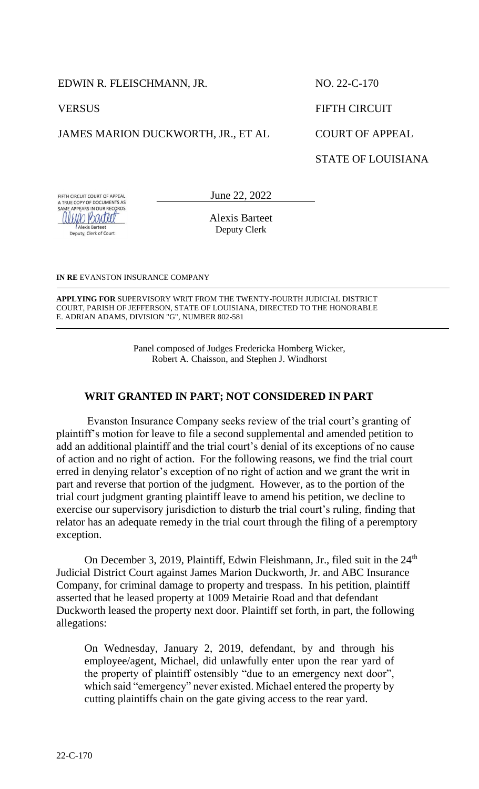EDWIN R. FLEISCHMANN, JR.

**VERSUS** 

**Alexis Barteet** Deputy, Clerk of Court

JAMES MARION DUCKWORTH, JR., ET AL

NO. 22-C-170 FIFTH CIRCUIT COURT OF APPEAL STATE OF LOUISIANA

FIFTH CIRCUIT COURT OF APPEAL FIFTH CIRCUIT COURT OF APPEAL<br>A TRUE COPY OF DOCUMENTS AS<br>SAME APPEARS IN OUR RECORDS alujo Bartett

June 22, 2022

Alexis Barteet Deputy Clerk

**IN RE** EVANSTON INSURANCE COMPANY

**APPLYING FOR** SUPERVISORY WRIT FROM THE TWENTY-FOURTH JUDICIAL DISTRICT COURT, PARISH OF JEFFERSON, STATE OF LOUISIANA, DIRECTED TO THE HONORABLE E. ADRIAN ADAMS, DIVISION "G", NUMBER 802-581 

> Panel composed of Judges Fredericka Homberg Wicker, Robert A. Chaisson, and Stephen J. Windhorst

## **WRIT GRANTED IN PART; NOT CONSIDERED IN PART**

Evanston Insurance Company seeks review of the trial court's granting of plaintiff's motion for leave to file a second supplemental and amended petition to add an additional plaintiff and the trial court's denial of its exceptions of no cause of action and no right of action. For the following reasons, we find the trial court erred in denying relator's exception of no right of action and we grant the writ in part and reverse that portion of the judgment. However, as to the portion of the trial court judgment granting plaintiff leave to amend his petition, we decline to exercise our supervisory jurisdiction to disturb the trial court's ruling, finding that relator has an adequate remedy in the trial court through the filing of a peremptory exception.

On December 3, 2019, Plaintiff, Edwin Fleishmann, Jr., filed suit in the 24<sup>th</sup> Judicial District Court against James Marion Duckworth, Jr. and ABC Insurance Company, for criminal damage to property and trespass. In his petition, plaintiff asserted that he leased property at 1009 Metairie Road and that defendant Duckworth leased the property next door. Plaintiff set forth, in part, the following allegations:

On Wednesday, January 2, 2019, defendant, by and through his employee/agent, Michael, did unlawfully enter upon the rear yard of the property of plaintiff ostensibly "due to an emergency next door", which said "emergency" never existed. Michael entered the property by cutting plaintiffs chain on the gate giving access to the rear yard.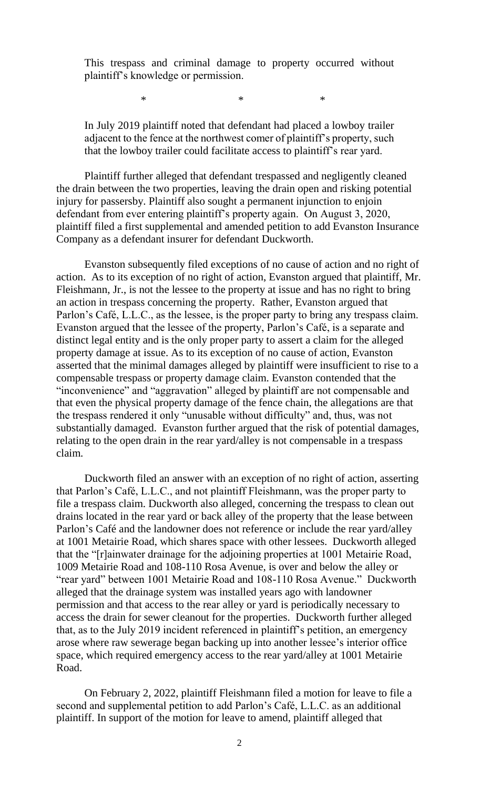This trespass and criminal damage to property occurred without plaintiff's knowledge or permission.

 $*$   $*$   $*$ 

In July 2019 plaintiff noted that defendant had placed a lowboy trailer adjacent to the fence at the northwest comer of plaintiff's property, such that the lowboy trailer could facilitate access to plaintiff's rear yard.

Plaintiff further alleged that defendant trespassed and negligently cleaned the drain between the two properties, leaving the drain open and risking potential injury for passersby. Plaintiff also sought a permanent injunction to enjoin defendant from ever entering plaintiff's property again. On August 3, 2020, plaintiff filed a first supplemental and amended petition to add Evanston Insurance Company as a defendant insurer for defendant Duckworth.

Evanston subsequently filed exceptions of no cause of action and no right of action. As to its exception of no right of action, Evanston argued that plaintiff, Mr. Fleishmann, Jr., is not the lessee to the property at issue and has no right to bring an action in trespass concerning the property. Rather, Evanston argued that Parlon's Café, L.L.C., as the lessee, is the proper party to bring any trespass claim. Evanston argued that the lessee of the property, Parlon's Café, is a separate and distinct legal entity and is the only proper party to assert a claim for the alleged property damage at issue. As to its exception of no cause of action, Evanston asserted that the minimal damages alleged by plaintiff were insufficient to rise to a compensable trespass or property damage claim. Evanston contended that the "inconvenience" and "aggravation" alleged by plaintiff are not compensable and that even the physical property damage of the fence chain, the allegations are that the trespass rendered it only "unusable without difficulty" and, thus, was not substantially damaged. Evanston further argued that the risk of potential damages, relating to the open drain in the rear yard/alley is not compensable in a trespass claim.

Duckworth filed an answer with an exception of no right of action, asserting that Parlon's Café, L.L.C., and not plaintiff Fleishmann, was the proper party to file a trespass claim. Duckworth also alleged, concerning the trespass to clean out drains located in the rear yard or back alley of the property that the lease between Parlon's Café and the landowner does not reference or include the rear yard/alley at 1001 Metairie Road, which shares space with other lessees. Duckworth alleged that the "[r]ainwater drainage for the adjoining properties at 1001 Metairie Road, 1009 Metairie Road and 108-110 Rosa Avenue, is over and below the alley or "rear yard" between 1001 Metairie Road and 108-110 Rosa Avenue." Duckworth alleged that the drainage system was installed years ago with landowner permission and that access to the rear alley or yard is periodically necessary to access the drain for sewer cleanout for the properties. Duckworth further alleged that, as to the July 2019 incident referenced in plaintiff's petition, an emergency arose where raw sewerage began backing up into another lessee's interior office space, which required emergency access to the rear yard/alley at 1001 Metairie Road.

On February 2, 2022, plaintiff Fleishmann filed a motion for leave to file a second and supplemental petition to add Parlon's Café, L.L.C. as an additional plaintiff. In support of the motion for leave to amend, plaintiff alleged that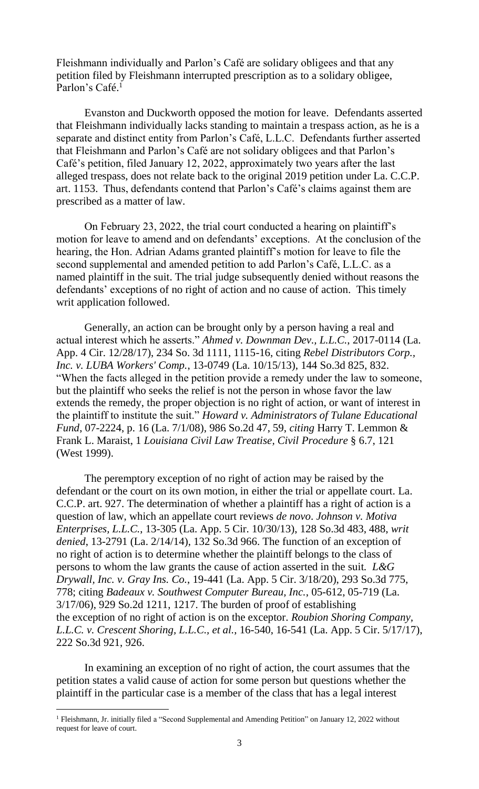Fleishmann individually and Parlon's Café are solidary obligees and that any petition filed by Fleishmann interrupted prescription as to a solidary obligee, Parlon's Café.<sup>1</sup>

Evanston and Duckworth opposed the motion for leave. Defendants asserted that Fleishmann individually lacks standing to maintain a trespass action, as he is a separate and distinct entity from Parlon's Café, L.L.C. Defendants further asserted that Fleishmann and Parlon's Café are not solidary obligees and that Parlon's Café's petition, filed January 12, 2022, approximately two years after the last alleged trespass, does not relate back to the original 2019 petition under La. C.C.P. art. 1153. Thus, defendants contend that Parlon's Café's claims against them are prescribed as a matter of law.

On February 23, 2022, the trial court conducted a hearing on plaintiff's motion for leave to amend and on defendants' exceptions. At the conclusion of the hearing, the Hon. Adrian Adams granted plaintiff's motion for leave to file the second supplemental and amended petition to add Parlon's Café, L.L.C. as a named plaintiff in the suit. The trial judge subsequently denied without reasons the defendants' exceptions of no right of action and no cause of action. This timely writ application followed.

Generally, an action can be brought only by a person having a real and actual interest which he asserts." *Ahmed v. Downman Dev., L.L.C.*, 2017-0114 (La. App. 4 Cir. 12/28/17), 234 So. 3d 1111, 1115-16, citing *Rebel Distributors Corp., Inc. v. LUBA Workers' Comp.*, 13-0749 (La. 10/15/13), 144 So.3d 825, 832. "When the facts alleged in the petition provide a remedy under the law to someone, but the plaintiff who seeks the relief is not the person in whose favor the law extends the remedy, the proper objection is no right of action, or want of interest in the plaintiff to institute the suit." *Howard v. Administrators of Tulane Educational Fund*, 07-2224, p. 16 (La. 7/1/08), 986 So.2d 47, 59, *citing* Harry T. Lemmon & Frank L. Maraist, 1 *Louisiana Civil Law Treatise, Civil Procedure* § 6.7, 121 (West 1999).

The peremptory exception of no right of action may be raised by the defendant or the court on its own motion, in either the trial or appellate court. La. C.C.P. art. 927. The determination of whether a plaintiff has a right of action is a question of law, which an appellate court reviews *de novo*. *Johnson v. Motiva Enterprises, L.L.C.*, 13-305 (La. App. 5 Cir. 10/30/13), 128 So.3d 483, 488, *writ denied*, 13-2791 (La. 2/14/14), 132 So.3d 966. The function of an exception of no right of action is to determine whether the plaintiff belongs to the class of persons to whom the law grants the cause of action asserted in the suit*. L&G Drywall, Inc. v. Gray Ins. Co.*, 19-441 (La. App. 5 Cir. 3/18/20), 293 So.3d 775, 778; citing *Badeaux v. Southwest Computer Bureau, Inc.*, 05-612, 05-719 (La. 3/17/06), 929 So.2d 1211, 1217. The burden of proof of establishing the exception of no right of action is on the exceptor. *Roubion Shoring Company, L.L.C. v. Crescent Shoring, L.L.C., et al.*, 16-540, 16-541 (La. App. 5 Cir. 5/17/17), 222 So.3d 921, 926.

In examining an exception of no right of action, the court assumes that the petition states a valid cause of action for some person but questions whether the plaintiff in the particular case is a member of the class that has a legal interest

l

<sup>&</sup>lt;sup>1</sup> Fleishmann, Jr. initially filed a "Second Supplemental and Amending Petition" on January 12, 2022 without request for leave of court.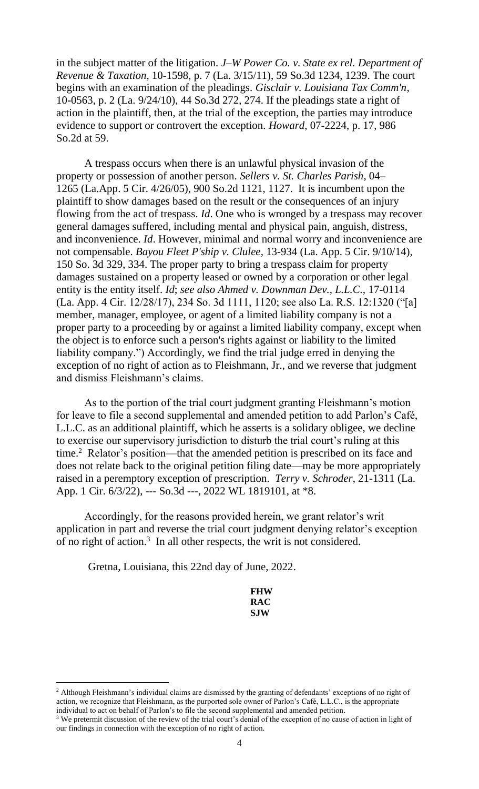in the subject matter of the litigation. *J–W Power Co. v. State ex rel. Department of Revenue & Taxation*, 10-1598, p. 7 (La. 3/15/11), 59 So.3d 1234, 1239. The court begins with an examination of the pleadings. *Gisclair v. Louisiana Tax Comm'n*, 10-0563, p. 2 (La. 9/24/10), 44 So.3d 272, 274. If the pleadings state a right of action in the plaintiff, then, at the trial of the exception, the parties may introduce evidence to support or controvert the exception. *Howard*, 07-2224, p. 17, 986 So.2d at 59.

A trespass occurs when there is an unlawful physical invasion of the property or possession of another person. *Sellers v. St. Charles Parish*, 04– 1265 (La.App. 5 Cir. 4/26/05), 900 So.2d 1121, 1127. It is incumbent upon the plaintiff to show damages based on the result or the consequences of an injury flowing from the act of trespass. *Id*. One who is wronged by a trespass may recover general damages suffered, including mental and physical pain, anguish, distress, and inconvenience. *Id*. However, minimal and normal worry and inconvenience are not compensable. *Bayou Fleet P'ship v. Clulee,* 13-934 (La. App. 5 Cir. 9/10/14), 150 So. 3d 329, 334. The proper party to bring a trespass claim for property damages sustained on a property leased or owned by a corporation or other legal entity is the entity itself. *Id*; *see also Ahmed v. Downman Dev., L.L.C.,* 17-0114 (La. App. 4 Cir. 12/28/17), 234 So. 3d 1111, 1120; see also La. R.S. 12:1320 ("[a] member, manager, employee, or agent of a limited liability company is not a proper party to a proceeding by or against a limited liability company, except when the object is to enforce such a person's rights against or liability to the limited liability company.") Accordingly, we find the trial judge erred in denying the exception of no right of action as to Fleishmann, Jr., and we reverse that judgment and dismiss Fleishmann's claims.

As to the portion of the trial court judgment granting Fleishmann's motion for leave to file a second supplemental and amended petition to add Parlon's Café, L.L.C. as an additional plaintiff, which he asserts is a solidary obligee, we decline to exercise our supervisory jurisdiction to disturb the trial court's ruling at this time.<sup>2</sup> Relator's position—that the amended petition is prescribed on its face and does not relate back to the original petition filing date—may be more appropriately raised in a peremptory exception of prescription. *Terry v. Schroder*, 21-1311 (La. App. 1 Cir. 6/3/22), --- So.3d ---, 2022 WL 1819101, at \*8.

Accordingly, for the reasons provided herein, we grant relator's writ application in part and reverse the trial court judgment denying relator's exception of no right of action.<sup>3</sup> In all other respects, the writ is not considered.

Gretna, Louisiana, this 22nd day of June, 2022.

l

| FHW |
|-----|
| RAC |
| SJW |

<sup>&</sup>lt;sup>2</sup> Although Fleishmann's individual claims are dismissed by the granting of defendants' exceptions of no right of action, we recognize that Fleishmann, as the purported sole owner of Parlon's Café, L.L.C., is the appropriate individual to act on behalf of Parlon's to file the second supplemental and amended petition.

<sup>&</sup>lt;sup>3</sup> We pretermit discussion of the review of the trial court's denial of the exception of no cause of action in light of our findings in connection with the exception of no right of action.